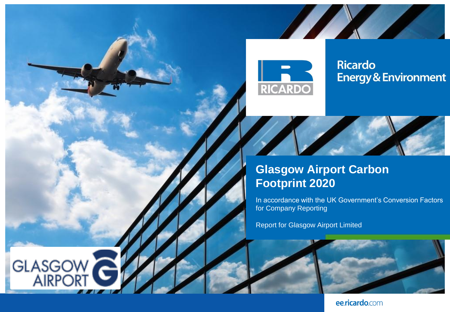

**Alex** 

### **Ricardo Energy & Environment**



**The Comment of Street Street Street** 

**A** 

In accordance with the UK Government's Conversion Factors for Company Reporting

Report for Glasgow Airport Limited

**GLASGOW**<br>AIRPORT



ee.ricardo.com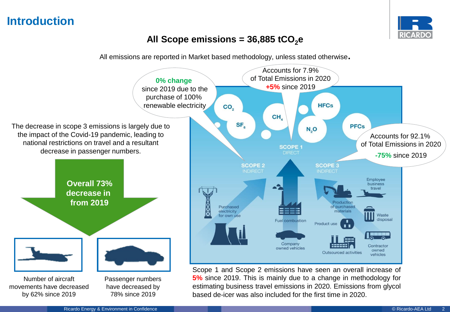# **Introduction**



### All Scope emissions = 36,885 tCO<sub>2</sub><sup>e</sup>

All emissions are reported in Market based methodology, unless stated otherwise**.**

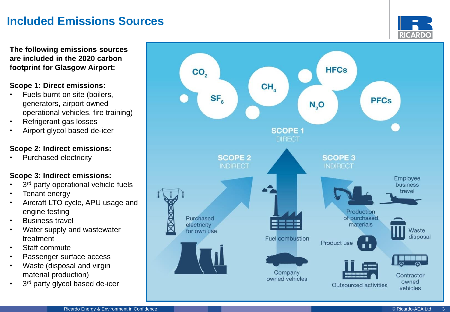# **Included Emissions Sources**

**RICARDO** 

**The following emissions sources are included in the 2020 carbon footprint for Glasgow Airport:**

### **Scope 1: Direct emissions:**

- Fuels burnt on site (boilers, generators, airport owned operational vehicles, fire training)
- Refrigerant gas losses
- Airport glycol based de -icer

### **Scope 2: Indirect emissions:**

• Purchased electricity

### **Scope 3: Indirect emissions:**

- 3<sup>rd</sup> party operational vehicle fuels
- Tenant energy
- Aircraft LTO cycle, APU usage and engine testing
- **Business travel**
- Water supply and wastewater treatment
- Staff commute
- Passenger surface access
- Waste (disposal and virgin material production)
- 3<sup>rd</sup> party glycol based de-icer

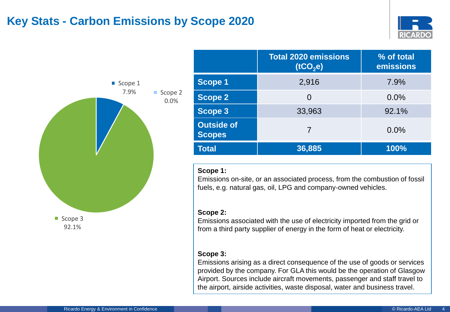## **Key Stats - Carbon Emissions by Scope 2020**





|                                    | <b>Total 2020 emissions</b><br>(tCO <sub>2</sub> e) | % of total<br>emissions |
|------------------------------------|-----------------------------------------------------|-------------------------|
| <b>Scope 1</b>                     | 2,916                                               | 7.9%                    |
| <b>Scope 2</b>                     | $\Omega$                                            | 0.0%                    |
| <b>Scope 3</b>                     | 33,963                                              | 92.1%                   |
| <b>Outside of</b><br><b>Scopes</b> | 7                                                   | 0.0%                    |
| <b>Total</b>                       | 36,885                                              | 100%                    |

#### **Scope 1:**

Emissions on-site, or an associated process, from the combustion of fossil fuels, e.g. natural gas, oil, LPG and company-owned vehicles.

#### **Scope 2:**

Emissions associated with the use of electricity imported from the grid or from a third party supplier of energy in the form of heat or electricity.

### **Scope 3:**

Emissions arising as a direct consequence of the use of goods or services provided by the company. For GLA this would be the operation of Glasgow Airport. Sources include aircraft movements, passenger and staff travel to the airport, airside activities, waste disposal, water and business travel.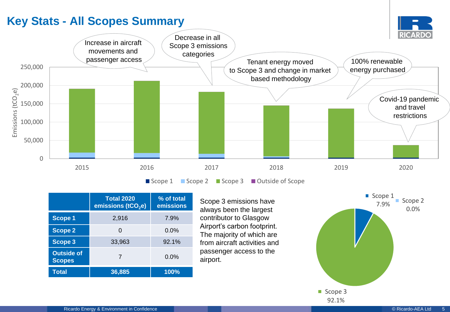# <span id="page-4-0"></span>**Key Stats - All Scopes Summary**



|                                    | <b>Total 2020</b><br>emissions (tCO <sub>2</sub> e) | % of total<br>emissions |
|------------------------------------|-----------------------------------------------------|-------------------------|
| <b>Scope 1</b>                     | 2,916                                               | 7.9%                    |
| <b>Scope 2</b>                     |                                                     | $0.0\%$                 |
| <b>Scope 3</b>                     | 33,963                                              | 92.1%                   |
| <b>Outside of</b><br><b>Scopes</b> | 7                                                   | $0.0\%$                 |
| Total                              | 36,885                                              | 100%                    |

Scope 3 emissions have always been the largest contributor to Glasgow Airport's carbon footprint. The majority of which are from aircraft activities and passenger access to the airport.

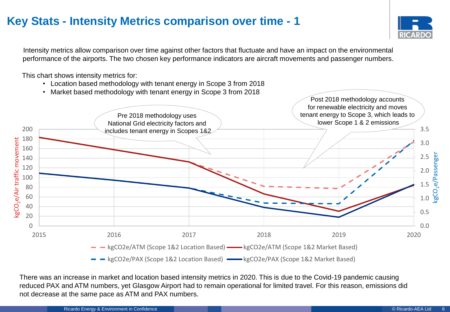# <span id="page-5-0"></span>**Key Stats - Intensity Metrics comparison over time - 1**



Intensity metrics allow comparison over time against other factors that fluctuate and have an impact on the environmental performance of the airports. The two chosen key performance indicators are aircraft movements and passenger numbers.

This chart shows intensity metrics for:

- Location based methodology with tenant energy in Scope 3 from 2018
- Market based methodology with tenant energy in Scope 3 from 2018



There was an increase in market and location based intensity metrics in 2020. This is due to the Covid-19 pandemic causing reduced PAX and ATM numbers, yet Glasgow Airport had to remain operational for limited travel. For this reason, emissions did not decrease at the same pace as ATM and PAX numbers.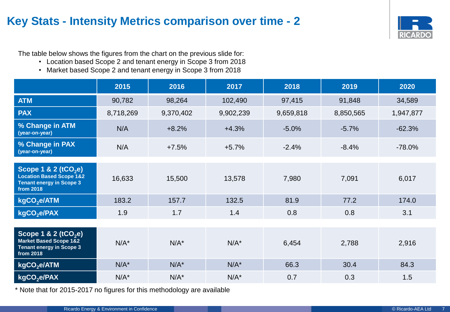# **Key Stats - Intensity Metrics comparison over time - 2**



The table below shows the figures from the chart on the previous slide for:

- Location based Scope 2 and tenant energy in Scope 3 from 2018
- Market based Scope 2 and tenant energy in Scope 3 from 2018

|                                                                                                                | 2015      | 2016      | 2017      | 2018      | 2019      | 2020      |
|----------------------------------------------------------------------------------------------------------------|-----------|-----------|-----------|-----------|-----------|-----------|
| <b>ATM</b>                                                                                                     | 90,782    | 98,264    | 102,490   | 97,415    | 91,848    | 34,589    |
| <b>PAX</b>                                                                                                     | 8,718,269 | 9,370,402 | 9,902,239 | 9,659,818 | 8,850,565 | 1,947,877 |
| % Change in ATM<br>(year-on-year)                                                                              | N/A       | $+8.2%$   | $+4.3%$   | $-5.0%$   | $-5.7%$   | $-62.3%$  |
| % Change in PAX<br>(year-on-year)                                                                              | N/A       | $+7.5%$   | $+5.7%$   | $-2.4%$   | $-8.4%$   | $-78.0%$  |
|                                                                                                                |           |           |           |           |           |           |
| Scope 1 & 2 ( $tCO2e$ )<br><b>Location Based Scope 1&amp;2</b><br><b>Tenant energy in Scope 3</b><br>from 2018 | 16,633    | 15,500    | 13,578    | 7,980     | 7,091     | 6,017     |
| kgCO <sub>2</sub> e/ATM                                                                                        | 183.2     | 157.7     | 132.5     | 81.9      | 77.2      | 174.0     |
| kgCO <sub>2</sub> e/PAX                                                                                        | 1.9       | 1.7       | 1.4       | 0.8       | 0.8       | 3.1       |
|                                                                                                                |           |           |           |           |           |           |
| Scope 1 & 2 ( $tCO2e$ )<br>Market Based Scope 1&2<br><b>Tenant energy in Scope 3</b><br>from 2018              | $N/A^*$   | $N/A^*$   | $N/A^*$   | 6,454     | 2,788     | 2,916     |
| kgCO <sub>2</sub> e/ATM                                                                                        | $N/A^*$   | $N/A^*$   | $N/A^*$   | 66.3      | 30.4      | 84.3      |
| kgCO <sub>2</sub> e/PAX                                                                                        | $N/A^*$   | $N/A^*$   | $N/A^*$   | 0.7       | 0.3       | 1.5       |

\* Note that for 2015-2017 no figures for this methodology are available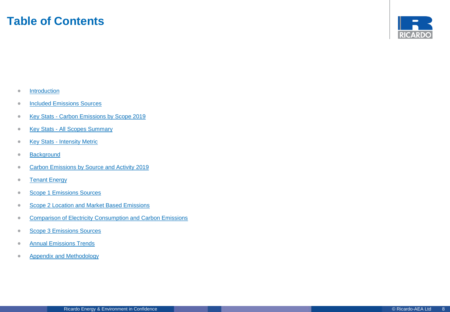### **Table of Contents**



- [Introduction](#page-4-0)
- **[Included Emissions Sources](#page-4-0)**
- Key Stats [Carbon Emissions by Scope 2019](#page-4-0)
- Key Stats [All Scopes Summary](#page-4-0)
- Key Stats [Intensity Metric](#page-5-0)
- [Background](#page-8-0)
- [Carbon Emissions by Source and Activity 2019](#page-9-0)
- [Tenant Energy](#page-11-0)
- [Scope 1 Emissions Sources](#page-12-0)
- [Scope 2 Location and Market Based Emissions](#page-13-0)
- [Comparison of Electricity Consumption and Carbon Emissions](#page-14-0)
- [Scope 3 Emissions Sources](#page-15-0)
- **[Annual Emissions Trends](#page-16-0)**
- **Appendix and Methodology**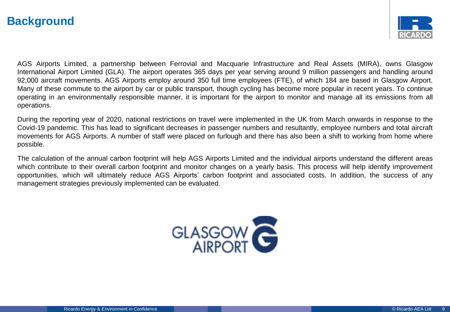## <span id="page-8-0"></span>**Background**



AGS Airports Limited, a partnership between Ferrovial and Macquarie Infrastructure and Real Assets (MIRA), owns Glasgow International Airport Limited (GLA). The airport operates 365 days per year serving around 9 million passengers and handling around 92,000 aircraft movements. AGS Airports employ around 350 full time employees (FTE), of which 184 are based in Glasgow Airport. Many of these commute to the airport by car or public transport, though cycling has become more popular in recent years. To continue operating in an environmentally responsible manner, it is important for the airport to monitor and manage all its emissions from all operations.

During the reporting year of 2020, national restrictions on travel were implemented in the UK from March onwards in response to the Covid-19 pandemic. This has lead to significant decreases in passenger numbers and resultantly, employee numbers and total aircraft movements for AGS Airports. A number of staff were placed on furlough and there has also been a shift to working from home where possible.

The calculation of the annual carbon footprint will help AGS Airports Limited and the individual airports understand the different areas which contribute to their overall carbon footprint and monitor changes on a yearly basis. This process will help identify improvement opportunities, which will ultimately reduce AGS Airports' carbon footprint and associated costs. In addition, the success of any management strategies previously implemented can be evaluated.

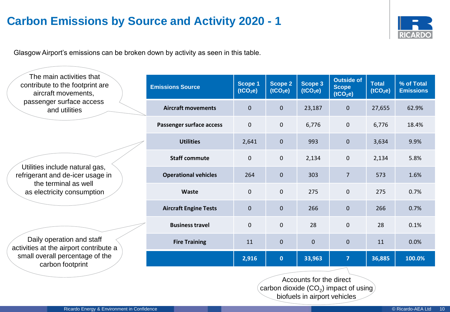# <span id="page-9-0"></span>**Carbon Emissions by Source and Activity 2020 - 1**



Glasgow Airport's emissions can be broken down by activity as seen in this table.

| The main activities that<br>contribute to the footprint are<br>aircraft movements,                                                                                                                                                                     | <b>Emissions Source</b>      | <b>Scope 1</b><br>(tCO <sub>2</sub> e) | <b>Scope 2</b><br>(tCO <sub>2</sub> e) | Scope 3<br>(tCO <sub>2</sub> e) | <b>Outside of</b><br><b>Scope</b><br>(tCO <sub>2</sub> e) | <b>Total</b><br>(tCO <sub>2</sub> e) | % of Total<br><b>Emissions</b> |
|--------------------------------------------------------------------------------------------------------------------------------------------------------------------------------------------------------------------------------------------------------|------------------------------|----------------------------------------|----------------------------------------|---------------------------------|-----------------------------------------------------------|--------------------------------------|--------------------------------|
| passenger surface access<br>and utilities                                                                                                                                                                                                              | <b>Aircraft movements</b>    | $\mathbf 0$                            | $\mathbf 0$                            | 23,187                          | $\mathbf 0$                                               | 27,655                               | 62.9%                          |
| Utilities include natural gas,<br>refrigerant and de-icer usage in<br>the terminal as well<br>as electricity consumption<br>Daily operation and staff<br>activities at the airport contribute a<br>small overall percentage of the<br>carbon footprint | Passenger surface access     | $\mathbf 0$                            | $\mathbf 0$                            | 6,776                           | 0                                                         | 6,776                                | 18.4%                          |
|                                                                                                                                                                                                                                                        | <b>Utilities</b>             | 2,641                                  | $\pmb{0}$                              | 993                             | $\pmb{0}$                                                 | 3,634                                | 9.9%                           |
|                                                                                                                                                                                                                                                        | <b>Staff commute</b>         | $\mathbf 0$                            | $\mathbf 0$                            | 2,134                           | 0                                                         | 2,134                                | 5.8%                           |
|                                                                                                                                                                                                                                                        | <b>Operational vehicles</b>  | 264                                    | $\mathbf 0$                            | 303                             | $\overline{7}$                                            | 573                                  | 1.6%                           |
|                                                                                                                                                                                                                                                        | Waste                        | $\mathbf 0$                            | $\mathbf 0$                            | 275                             | $\mathbf 0$                                               | 275                                  | 0.7%                           |
|                                                                                                                                                                                                                                                        | <b>Aircraft Engine Tests</b> | $\mathbf 0$                            | $\mathbf{0}$                           | 266                             | $\mathbf 0$                                               | 266                                  | 0.7%                           |
|                                                                                                                                                                                                                                                        | <b>Business travel</b>       | $\mathbf 0$                            | $\mathbf 0$                            | 28                              | 0                                                         | 28                                   | 0.1%                           |
|                                                                                                                                                                                                                                                        | <b>Fire Training</b>         | 11                                     | $\pmb{0}$                              | $\pmb{0}$                       | 0                                                         | 11                                   | 0.0%                           |
|                                                                                                                                                                                                                                                        |                              | 2,916                                  | $\bullet$                              | 33,963                          | $\overline{7}$                                            | 36,885                               | 100.0%                         |

Accounts for the direct carbon dioxide (CO $_2$ ) impact of using biofuels in airport vehicles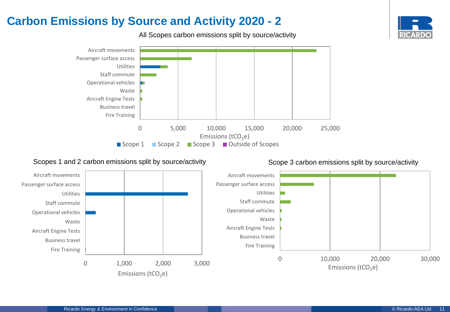### 0 5,000 10,000 15,000 20,000 25,000 Aircraft movements Passenger surface access Utilities Staff commute Operational vehicles Waste Aircraft Engine Tests Business travel Fire Training Emissions (tCO<sub>2</sub>e)<br>
Scope 3 **D** Outside Scope 1 Scope 2 Scope 3 Outside of Scopes

#### Scopes 1 and 2 carbon emissions split by source/activity Scope 3 carbon emissions split by source/activity





# **Carbon Emissions by Source and Activity 2020 - 2**

All Scopes carbon emissions split by source/activity

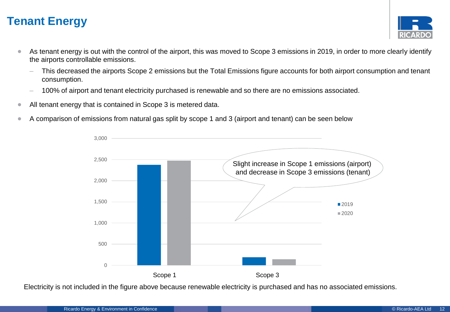# <span id="page-11-0"></span>**Tenant Energy**



- As tenant energy is out with the control of the airport, this was moved to Scope 3 emissions in 2019, in order to more clearly identify the airports controllable emissions.
	- This decreased the airports Scope 2 emissions but the Total Emissions figure accounts for both airport consumption and tenant consumption.
	- 100% of airport and tenant electricity purchased is renewable and so there are no emissions associated.
- All tenant energy that is contained in Scope 3 is metered data.
- A comparison of emissions from natural gas split by scope 1 and 3 (airport and tenant) can be seen below



Electricity is not included in the figure above because renewable electricity is purchased and has no associated emissions.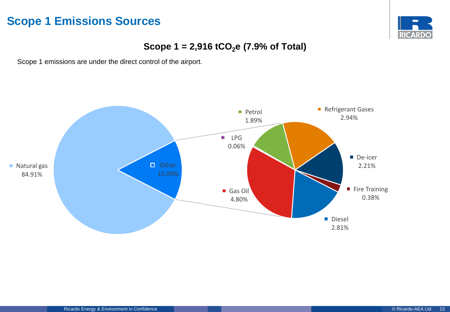# <span id="page-12-0"></span>**Scope 1 Emissions Sources**



### **Scope 1 = 2,916 tCO2e (7.9% of Total)**

Scope 1 emissions are under the direct control of the airport.

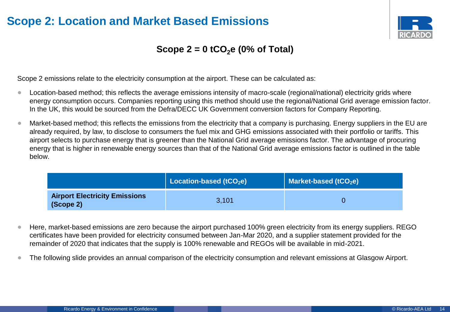# <span id="page-13-0"></span>**Scope 2: Location and Market Based Emissions**



### **Scope 2 = 0 tCO2e (0% of Total)**

Scope 2 emissions relate to the electricity consumption at the airport. These can be calculated as:

- Location-based method; this reflects the average emissions intensity of macro-scale (regional/national) electricity grids where energy consumption occurs. Companies reporting using this method should use the regional/National Grid average emission factor. In the UK, this would be sourced from the Defra/DECC UK Government conversion factors for Company Reporting.
- Market-based method; this reflects the emissions from the electricity that a company is purchasing. Energy suppliers in the EU are already required, by law, to disclose to consumers the fuel mix and GHG emissions associated with their portfolio or tariffs. This airport selects to purchase energy that is greener than the National Grid average emissions factor. The advantage of procuring energy that is higher in renewable energy sources than that of the National Grid average emissions factor is outlined in the table below.

|                                                   | Location-based (tCO <sub>2</sub> e) | Market-based (tCO <sub>2</sub> e) |
|---------------------------------------------------|-------------------------------------|-----------------------------------|
| <b>Airport Electricity Emissions</b><br>(Scope 2) | 3.101                               |                                   |

- Here, market-based emissions are zero because the airport purchased 100% green electricity from its energy suppliers. REGO certificates have been provided for electricity consumed between Jan-Mar 2020, and a supplier statement provided for the remainder of 2020 that indicates that the supply is 100% renewable and REGOs will be available in mid-2021.
- The following slide provides an annual comparison of the electricity consumption and relevant emissions at Glasgow Airport.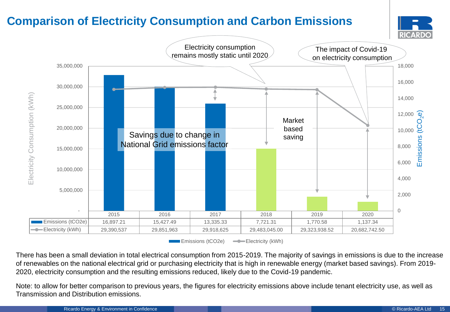# <span id="page-14-0"></span>**Comparison of Electricity Consumption and Carbon Emissions**





**EMILE** Emissions (tCO2e)  $\longrightarrow$  Electricity (kWh)

There has been a small deviation in total electrical consumption from 2015-2019. The majority of savings in emissions is due to the increase of renewables on the national electrical grid or purchasing electricity that is high in renewable energy (market based savings). From 2019- 2020, electricity consumption and the resulting emissions reduced, likely due to the Covid-19 pandemic.

Note: to allow for better comparison to previous years, the figures for electricity emissions above include tenant electricity use, as well as Transmission and Distribution emissions.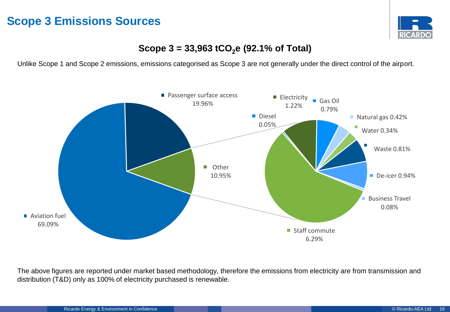# <span id="page-15-0"></span>**Scope 3 Emissions Sources**



### **Scope 3 = 33,963 tCO2e (92.1% of Total)**

Unlike Scope 1 and Scope 2 emissions, emissions categorised as Scope 3 are not generally under the direct control of the airport.



The above figures are reported under market based methodology, therefore the emissions from electricity are from transmission and distribution (T&D) only as 100% of electricity purchased is renewable.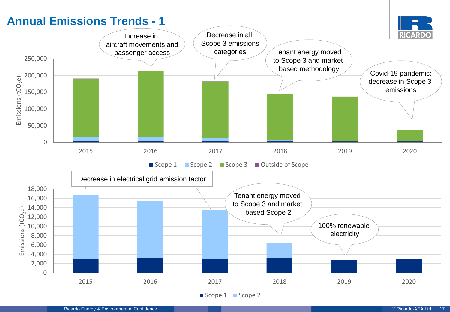# <span id="page-16-0"></span>**Annual Emissions Trends - 1**

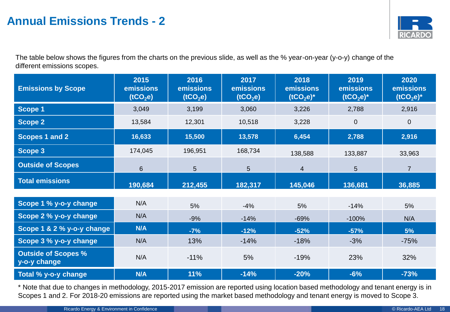# **Annual Emissions Trends - 2**



The table below shows the figures from the charts on the previous slide, as well as the % year-on-year (y-o-y) change of the different emissions scopes.

| <b>Emissions by Scope</b>                  | 2015<br>emissions<br>(tCO <sub>2</sub> e) | 2016<br>emissions<br>(tCO <sub>2</sub> e) | 2017<br>emissions<br>(tCO <sub>2</sub> e) | 2018<br>emissions<br>$(tCO2e)^*$ | 2019<br>emissions<br>$(tCO2e)^*$ | 2020<br>emissions<br>$(tCO2e)^*$ |
|--------------------------------------------|-------------------------------------------|-------------------------------------------|-------------------------------------------|----------------------------------|----------------------------------|----------------------------------|
| <b>Scope 1</b>                             | 3,049                                     | 3,199                                     | 3,060                                     | 3,226                            | 2,788                            | 2,916                            |
| <b>Scope 2</b>                             | 13,584                                    | 12,301                                    | 10,518                                    | 3,228                            | $\mathbf{0}$                     | $\overline{0}$                   |
| Scopes 1 and 2                             | 16,633                                    | 15,500                                    | 13,578                                    | 6,454                            | 2,788                            | 2,916                            |
| <b>Scope 3</b>                             | 174,045                                   | 196,951                                   | 168,734                                   | 138,588                          | 133,887                          | 33,963                           |
| <b>Outside of Scopes</b>                   | $6\phantom{1}$                            | 5                                         | 5                                         | $\overline{4}$                   | $5\phantom{.}$                   | $\overline{7}$                   |
| <b>Total emissions</b>                     | 190,684                                   | 212,455                                   | 182,317                                   | 145,046                          | 136,681                          | 36,885                           |
|                                            |                                           |                                           |                                           |                                  |                                  |                                  |
| Scope 1 % y-o-y change                     | N/A                                       | 5%                                        | $-4%$                                     | 5%                               | $-14%$                           | 5%                               |
| Scope 2 % y-o-y change                     | N/A                                       | $-9%$                                     | $-14%$                                    | $-69%$                           | $-100%$                          | N/A                              |
| Scope 1 & 2 % y-o-y change                 | <b>N/A</b>                                | $-7%$                                     | $-12%$                                    | $-52%$                           | $-57%$                           | 5%                               |
| Scope 3 % y-o-y change                     | N/A                                       | 13%                                       | $-14%$                                    | $-18%$                           | $-3%$                            | $-75%$                           |
| <b>Outside of Scopes %</b><br>y-o-y change | N/A                                       | $-11%$                                    | 5%                                        | $-19%$                           | 23%                              | 32%                              |
| Total % y-o-y change                       | <b>N/A</b>                                | 11%                                       | $-14%$                                    | $-20%$                           | $-6%$                            | $-73%$                           |

\* Note that due to changes in methodology, 2015-2017 emission are reported using location based methodology and tenant energy is in Scopes 1 and 2. For 2018-20 emissions are reported using the market based methodology and tenant energy is moved to Scope 3.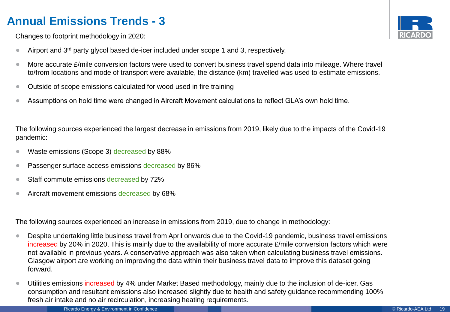# **Annual Emissions Trends - 3**



Changes to footprint methodology in 2020:

- Airport and  $3^{rd}$  party glycol based de-icer included under scope 1 and 3, respectively.
- More accurate £/mile conversion factors were used to convert business travel spend data into mileage. Where travel to/from locations and mode of transport were available, the distance (km) travelled was used to estimate emissions.
- Outside of scope emissions calculated for wood used in fire training
- Assumptions on hold time were changed in Aircraft Movement calculations to reflect GLA's own hold time.

The following sources experienced the largest decrease in emissions from 2019, likely due to the impacts of the Covid-19 pandemic:

- Waste emissions (Scope 3) decreased by 88%
- Passenger surface access emissions decreased by 86%
- Staff commute emissions decreased by 72%
- Aircraft movement emissions decreased by 68%

The following sources experienced an increase in emissions from 2019, due to change in methodology:

- Despite undertaking little business travel from April onwards due to the Covid-19 pandemic, business travel emissions increased by 20% in 2020. This is mainly due to the availability of more accurate £/mile conversion factors which were not available in previous years. A conservative approach was also taken when calculating business travel emissions. Glasgow airport are working on improving the data within their business travel data to improve this dataset going forward.
- Utilities emissions increased by 4% under Market Based methodology, mainly due to the inclusion of de-icer. Gas consumption and resultant emissions also increased slightly due to health and safety guidance recommending 100% fresh air intake and no air recirculation, increasing heating requirements.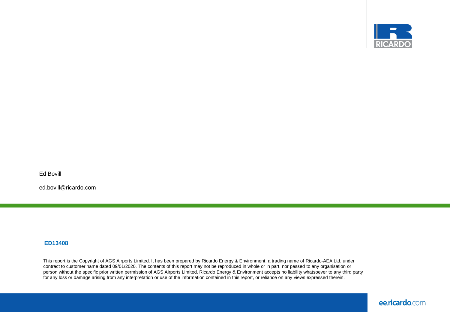

Ed Bovill

ed.bovill@ricardo.com

#### **ED13408**

This report is the Copyright of AGS Airports Limited. It has been prepared by Ricardo Energy & Environment, a trading name of Ricardo-AEA Ltd, under contract to customer name dated 09/01/2020. The contents of this report may not be reproduced in whole or in part, nor passed to any organisation or person without the specific prior written permission of AGS Airports Limited. Ricardo Energy & Environment accepts no liability whatsoever to any third party for any loss or damage arising from any interpretation or use of the information contained in this report, or reliance on any views expressed therein.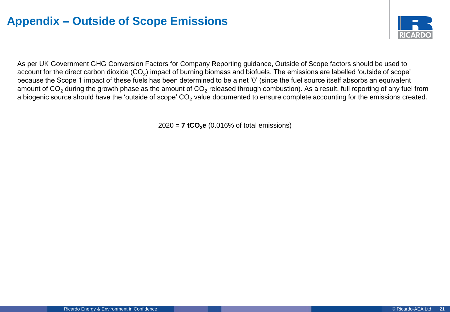# **Appendix – Outside of Scope Emissions**



As per UK Government GHG Conversion Factors for Company Reporting guidance, Outside of Scope factors should be used to account for the direct carbon dioxide (CO<sub>2</sub>) impact of burning biomass and biofuels. The emissions are labelled 'outside of scope' because the Scope 1 impact of these fuels has been determined to be a net '0' (since the fuel source itself absorbs an equivalent amount of CO<sub>2</sub> during the growth phase as the amount of CO<sub>2</sub> released through combustion). As a result, full reporting of any fuel from a biogenic source should have the 'outside of scope'  $CO<sub>2</sub>$  value documented to ensure complete accounting for the emissions created.

2020 = **7 tCO2e** (0.016% of total emissions)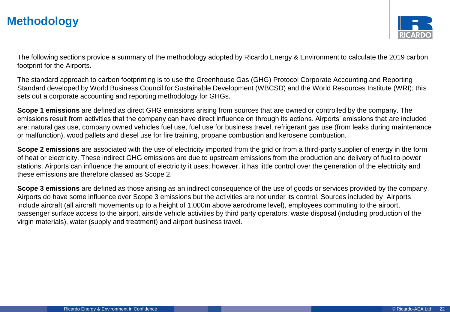# **Methodology**



The following sections provide a summary of the methodology adopted by Ricardo Energy & Environment to calculate the 2019 carbon footprint for the Airports.

The standard approach to carbon footprinting is to use the Greenhouse Gas (GHG) Protocol Corporate Accounting and Reporting Standard developed by World Business Council for Sustainable Development (WBCSD) and the World Resources Institute (WRI); this sets out a corporate accounting and reporting methodology for GHGs.

**Scope 1 emissions** are defined as direct GHG emissions arising from sources that are owned or controlled by the company. The emissions result from activities that the company can have direct influence on through its actions. Airports' emissions that are included are: natural gas use, company owned vehicles fuel use, fuel use for business travel, refrigerant gas use (from leaks during maintenance or malfunction), wood pallets and diesel use for fire training, propane combustion and kerosene combustion.

**Scope 2 emissions** are associated with the use of electricity imported from the grid or from a third-party supplier of energy in the form of heat or electricity. These indirect GHG emissions are due to upstream emissions from the production and delivery of fuel to power stations. Airports can influence the amount of electricity it uses; however, it has little control over the generation of the electricity and these emissions are therefore classed as Scope 2.

**Scope 3 emissions** are defined as those arising as an indirect consequence of the use of goods or services provided by the company. Airports do have some influence over Scope 3 emissions but the activities are not under its control. Sources included by Airports include aircraft (all aircraft movements up to a height of 1,000m above aerodrome level), employees commuting to the airport, passenger surface access to the airport, airside vehicle activities by third party operators, waste disposal (including production of the virgin materials), water (supply and treatment) and airport business travel.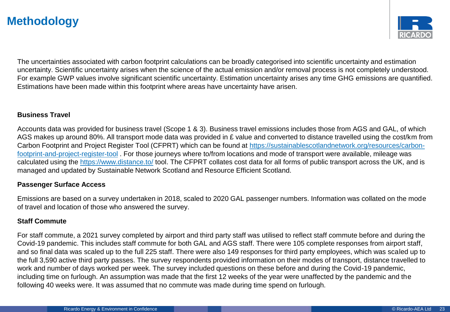# **Methodology**



The uncertainties associated with carbon footprint calculations can be broadly categorised into scientific uncertainty and estimation uncertainty. Scientific uncertainty arises when the science of the actual emission and/or removal process is not completely understood. For example GWP values involve significant scientific uncertainty. Estimation uncertainty arises any time GHG emissions are quantified. Estimations have been made within this footprint where areas have uncertainty have arisen.

#### **Business Travel**

Accounts data was provided for business travel (Scope 1 & 3). Business travel emissions includes those from AGS and GAL, of which AGS makes up around 80%. All transport mode data was provided in £ value and converted to distance travelled using the cost/km from [Carbon Footprint and Project Register Tool \(CFPRT\) which can be found at https://sustainablescotlandnetwork.org/resources/carbon](https://sustainablescotlandnetwork.org/resources/carbon-footprint-and-project-register-tool)footprint-and-project-register-tool . For those journeys where to/from locations and mode of transport were available, mileage was calculated using the<https://www.distance.to/> tool. The CFPRT collates cost data for all forms of public transport across the UK, and is managed and updated by Sustainable Network Scotland and Resource Efficient Scotland.

#### **Passenger Surface Access**

Emissions are based on a survey undertaken in 2018, scaled to 2020 GAL passenger numbers. Information was collated on the mode of travel and location of those who answered the survey.

### **Staff Commute**

For staff commute, a 2021 survey completed by airport and third party staff was utilised to reflect staff commute before and during the Covid-19 pandemic. This includes staff commute for both GAL and AGS staff. There were 105 complete responses from airport staff, and so final data was scaled up to the full 225 staff. There were also 149 responses for third party employees, which was scaled up to the full 3,590 active third party passes. The survey respondents provided information on their modes of transport, distance travelled to work and number of days worked per week. The survey included questions on these before and during the Covid-19 pandemic, including time on furlough. An assumption was made that the first 12 weeks of the year were unaffected by the pandemic and the following 40 weeks were. It was assumed that no commute was made during time spend on furlough.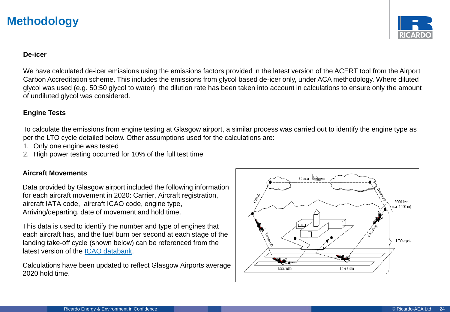# **Methodology**



#### **De-icer**

We have calculated de-icer emissions using the emissions factors provided in the latest version of the ACERT tool from the Airport Carbon Accreditation scheme. This includes the emissions from glycol based de-icer only, under ACA methodology. Where diluted glycol was used (e.g. 50:50 glycol to water), the dilution rate has been taken into account in calculations to ensure only the amount of undiluted glycol was considered.

#### **Engine Tests**

To calculate the emissions from engine testing at Glasgow airport, a similar process was carried out to identify the engine type as per the LTO cycle detailed below. Other assumptions used for the calculations are:

- 1. Only one engine was tested
- 2. High power testing occurred for 10% of the full test time

### **Aircraft Movements**

Data provided by Glasgow airport included the following information for each aircraft movement in 2020: Carrier, Aircraft registration, aircraft IATA code, aircraft ICAO code, engine type, Arriving/departing, date of movement and hold time.

This data is used to identify the number and type of engines that each aircraft has, and the fuel burn per second at each stage of the landing take-off cycle (shown below) can be referenced from the latest version of the [ICAO databank.](https://www.easa.europa.eu/domains/environment/icao-aircraft-engine-emissions-databank)

Calculations have been updated to reflect Glasgow Airports average 2020 hold time.

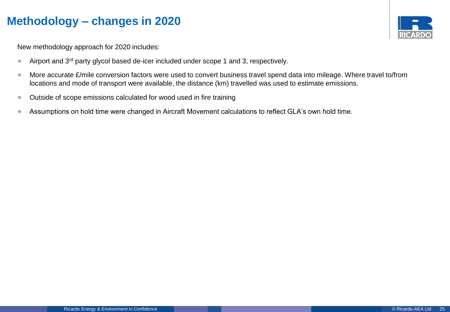# **Methodology – changes in 2020**



New methodology approach for 2020 includes:

- Airport and  $3^{rd}$  party glycol based de-icer included under scope 1 and 3, respectively.
- More accurate £/mile conversion factors were used to convert business travel spend data into mileage. Where travel to/from locations and mode of transport were available, the distance (km) travelled was used to estimate emissions.
- Outside of scope emissions calculated for wood used in fire training
- Assumptions on hold time were changed in Aircraft Movement calculations to reflect GLA's own hold time.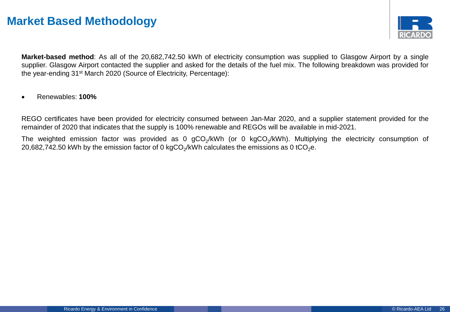

**Market-based method**: As all of the 20,682,742.50 kWh of electricity consumption was supplied to Glasgow Airport by a single supplier. Glasgow Airport contacted the supplier and asked for the details of the fuel mix. The following breakdown was provided for the year-ending 31st March 2020 (Source of Electricity, Percentage):

• Renewables: **100%**

REGO certificates have been provided for electricity consumed between Jan-Mar 2020, and a supplier statement provided for the remainder of 2020 that indicates that the supply is 100% renewable and REGOs will be available in mid-2021.

The weighted emission factor was provided as 0 gCO<sub>2</sub>/kWh (or 0 kgCO<sub>2</sub>/kWh). Multiplying the electricity consumption of 20,682,742.50 kWh by the emission factor of 0 kgCO $_2$ /kWh calculates the emissions as 0 tCO $_2$ e.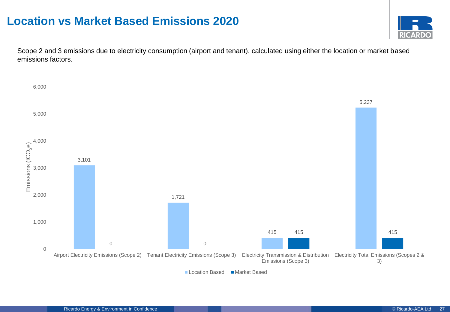## **Location vs Market Based Emissions 2020**



Scope 2 and 3 emissions due to electricity consumption (airport and tenant), calculated using either the location or market based emissions factors.

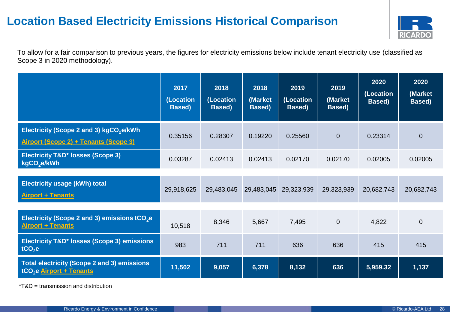# **Location Based Electricity Emissions Historical Comparison**



To allow for a fair comparison to previous years, the figures for electricity emissions below include tenant electricity use (classified as Scope 3 in 2020 methodology).

|                                                                                              | 2017<br>(Location<br><b>Based</b> ) | 2018<br>(Location<br>Based) | 2018<br>(Market<br>Based) | 2019<br>(Location<br>Based) | 2019<br>(Market<br>Based) | 2020<br>(Location<br>Based) | 2020<br>(Market<br>Based) |
|----------------------------------------------------------------------------------------------|-------------------------------------|-----------------------------|---------------------------|-----------------------------|---------------------------|-----------------------------|---------------------------|
| Electricity (Scope 2 and 3) kgCO <sub>2</sub> e/kWh<br>Airport (Scope 2) + Tenants (Scope 3) | 0.35156                             | 0.28307                     | 0.19220                   | 0.25560                     | $\overline{0}$            | 0.23314                     | $\overline{0}$            |
| <b>Electricity T&amp;D* losses (Scope 3)</b><br>kgCO <sub>2</sub> e/kWh                      | 0.03287                             | 0.02413                     | 0.02413                   | 0.02170                     | 0.02170                   | 0.02005                     | 0.02005                   |
| <b>Electricity usage (kWh) total</b><br><b>Airport + Tenants</b>                             | 29,918,625                          | 29,483,045                  | 29,483,045                | 29,323,939                  | 29,323,939                | 20,682,743                  | 20,682,743                |
| Electricity (Scope 2 and 3) emissions tCO <sub>2</sub> e<br><b>Airport + Tenants</b>         | 10,518                              | 8,346                       | 5,667                     | 7,495                       | $\pmb{0}$                 | 4,822                       | $\overline{0}$            |
| Electricity T&D* losses (Scope 3) emissions<br>tCO <sub>2</sub> e                            | 983                                 | 711                         | 711                       | 636                         | 636                       | 415                         | 415                       |
| Total electricity (Scope 2 and 3) emissions<br>tCO <sub>2</sub> e Airport + Tenants          | 11,502                              | 9,057                       | 6,378                     | 8,132                       | 636                       | 5,959.32                    | 1,137                     |

\*T&D = transmission and distribution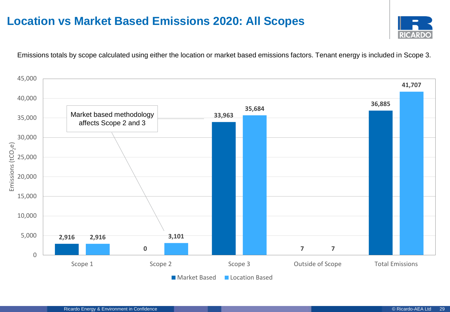# **Location vs Market Based Emissions 2020: All Scopes**



Emissions totals by scope calculated using either the location or market based emissions factors. Tenant energy is included in Scope 3.

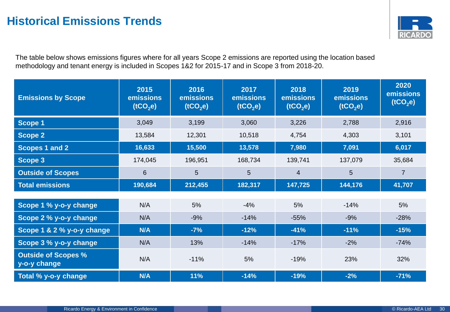

The table below shows emissions figures where for all years Scope 2 emissions are reported using the location based methodology and tenant energy is included in Scopes 1&2 for 2015-17 and in Scope 3 from 2018-20.

| <b>Emissions by Scope</b>                  | 2015<br>emissions<br>(tCO <sub>2</sub> e) | 2016<br>emissions<br>(tCO <sub>2</sub> e) | 2017<br>emissions<br>(tCO <sub>2</sub> e) | 2018<br>emissions<br>(tCO <sub>2</sub> e) | 2019<br>emissions<br>(tCO <sub>2</sub> e) | 2020<br>emissions<br>(tCO <sub>2</sub> e) |
|--------------------------------------------|-------------------------------------------|-------------------------------------------|-------------------------------------------|-------------------------------------------|-------------------------------------------|-------------------------------------------|
| <b>Scope 1</b>                             | 3,049                                     | 3,199                                     | 3,060                                     | 3,226                                     | 2,788                                     | 2,916                                     |
| <b>Scope 2</b>                             | 13,584                                    | 12,301                                    | 10,518                                    | 4,754                                     | 4,303                                     | 3,101                                     |
| Scopes 1 and 2                             | 16,633                                    | 15,500                                    | 13,578                                    | 7,980                                     | 7,091                                     | 6,017                                     |
| Scope 3                                    | 174,045                                   | 196,951                                   | 168,734                                   | 139,741                                   | 137,079                                   | 35,684                                    |
| <b>Outside of Scopes</b>                   | 6                                         | 5                                         | 5                                         | $\overline{4}$                            | 5                                         | $\overline{7}$                            |
| <b>Total emissions</b>                     | 190,684                                   | 212,455                                   | 182,317                                   | 147,725                                   | 144,176                                   | 41,707                                    |
|                                            |                                           |                                           |                                           |                                           |                                           |                                           |
| Scope 1 % y-o-y change                     | N/A                                       | 5%                                        | $-4%$                                     | 5%                                        | $-14%$                                    | 5%                                        |
| Scope 2 % y-o-y change                     | N/A                                       | $-9%$                                     | $-14%$                                    | $-55%$                                    | $-9%$                                     | $-28%$                                    |
| Scope 1 & 2 % y-o-y change                 | N/A                                       | $-7%$                                     | $-12%$                                    | $-41%$                                    | $-11%$                                    | $-15%$                                    |
| Scope 3 % y-o-y change                     | N/A                                       | 13%                                       | $-14%$                                    | $-17%$                                    | $-2%$                                     | $-74%$                                    |
| <b>Outside of Scopes %</b><br>y-o-y change | N/A                                       | $-11%$                                    | 5%                                        | $-19%$                                    | 23%                                       | 32%                                       |
| Total % y-o-y change                       | N/A                                       | 11%                                       | $-14%$                                    | $-19%$                                    | $-2%$                                     | $-71%$                                    |